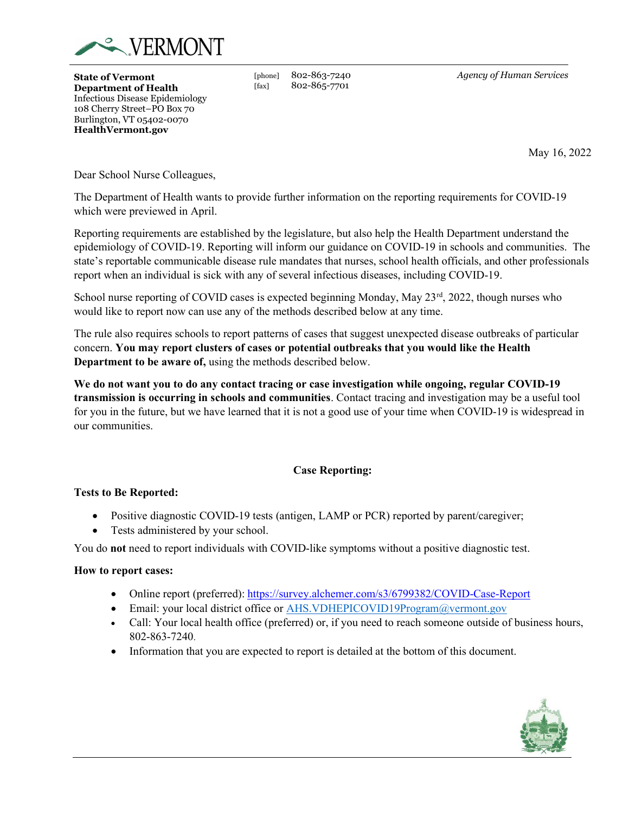

State of Vermont Department of Health Infectious Disease Epidemiology 108 Cherry Street–PO Box 70 Burlington, VT 05402-0070 HealthVermont.gov

[phone] 802-863-7240 [fax] 802-865-7701

Agency of Human Services

May 16, 2022

Dear School Nurse Colleagues,

The Department of Health wants to provide further information on the reporting requirements for COVID-19 which were previewed in April.

Reporting requirements are established by the legislature, but also help the Health Department understand the epidemiology of COVID-19. Reporting will inform our guidance on COVID-19 in schools and communities. The state's reportable communicable disease rule mandates that nurses, school health officials, and other professionals report when an individual is sick with any of several infectious diseases, including COVID-19.

School nurse reporting of COVID cases is expected beginning Monday, May  $23<sup>rd</sup>$ , 2022, though nurses who would like to report now can use any of the methods described below at any time.

The rule also requires schools to report patterns of cases that suggest unexpected disease outbreaks of particular concern. You may report clusters of cases or potential outbreaks that you would like the Health Department to be aware of, using the methods described below.

We do not want you to do any contact tracing or case investigation while ongoing, regular COVID-19 transmission is occurring in schools and communities. Contact tracing and investigation may be a useful tool for you in the future, but we have learned that it is not a good use of your time when COVID-19 is widespread in our communities.

# Case Reporting:

### Tests to Be Reported:

- Positive diagnostic COVID-19 tests (antigen, LAMP or PCR) reported by parent/caregiver;
- Tests administered by your school.

You do not need to report individuals with COVID-like symptoms without a positive diagnostic test.

### How to report cases:

- Online report (preferred): https://survey.alchemer.com/s3/6799382/COVID-Case-Report
- Email: your local district office or AHS.VDHEPICOVID19Program@vermont.gov
- Call: Your local health office (preferred) or, if you need to reach someone outside of business hours, 802-863-7240.
- Information that you are expected to report is detailed at the bottom of this document.

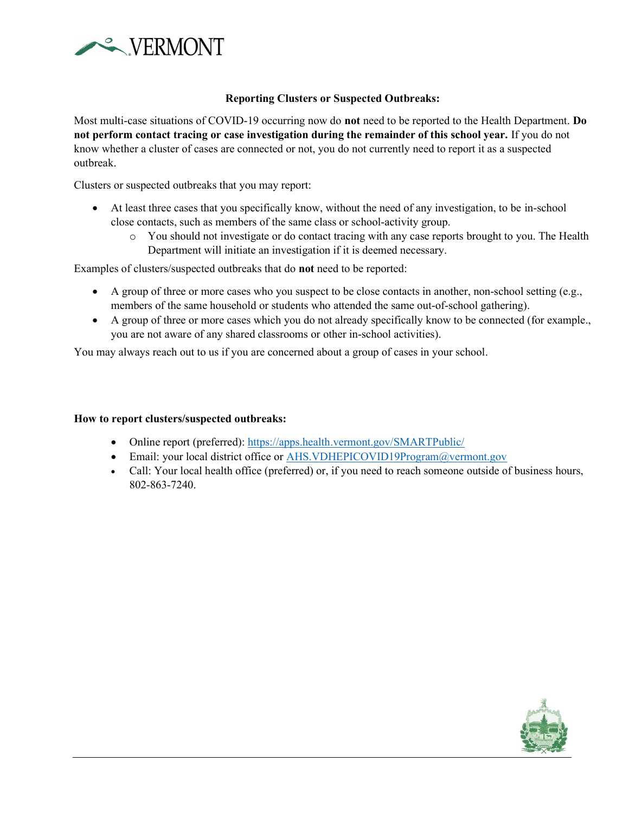

# Reporting Clusters or Suspected Outbreaks:

Most multi-case situations of COVID-19 occurring now do not need to be reported to the Health Department. Do not perform contact tracing or case investigation during the remainder of this school year. If you do not know whether a cluster of cases are connected or not, you do not currently need to report it as a suspected outbreak.

Clusters or suspected outbreaks that you may report:

- At least three cases that you specifically know, without the need of any investigation, to be in-school close contacts, such as members of the same class or school-activity group.
	- o You should not investigate or do contact tracing with any case reports brought to you. The Health Department will initiate an investigation if it is deemed necessary.

Examples of clusters/suspected outbreaks that do not need to be reported:

- A group of three or more cases who you suspect to be close contacts in another, non-school setting (e.g., members of the same household or students who attended the same out-of-school gathering).
- A group of three or more cases which you do not already specifically know to be connected (for example., you are not aware of any shared classrooms or other in-school activities).

You may always reach out to us if you are concerned about a group of cases in your school.

#### How to report clusters/suspected outbreaks:

- Online report (preferred): https://apps.health.vermont.gov/SMARTPublic/
- Email: your local district office or AHS.VDHEPICOVID19Program@vermont.gov
- Call: Your local health office (preferred) or, if you need to reach someone outside of business hours, 802-863-7240.